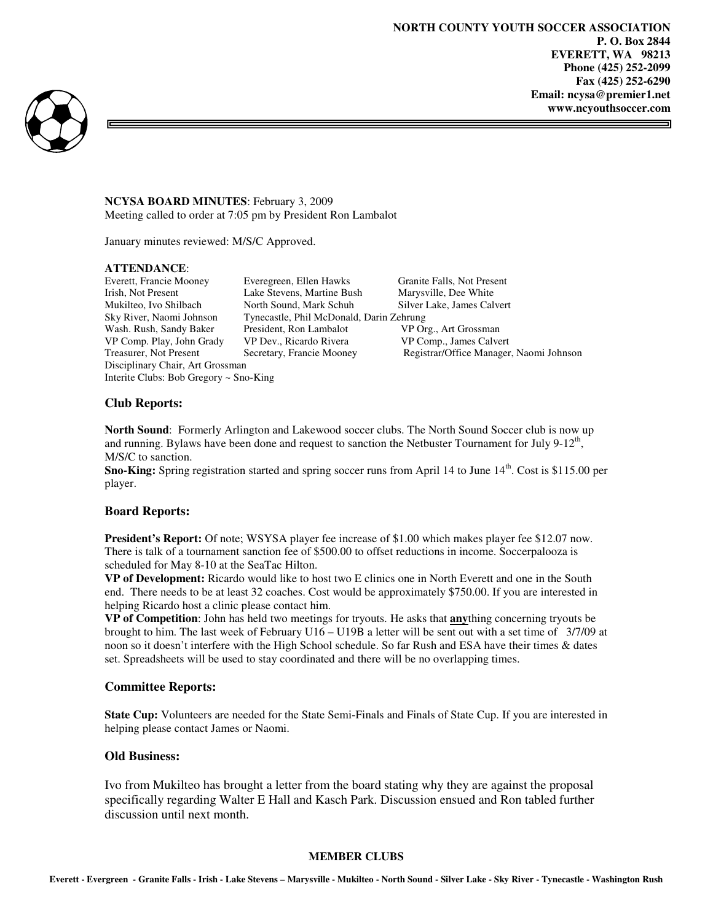⊐



## **NCYSA BOARD MINUTES**: February 3, 2009 Meeting called to order at 7:05 pm by President Ron Lambalot

January minutes reviewed: M/S/C Approved.

### **ATTENDANCE**:

Disciplinary Chair, Art Grossman Interite Clubs: Bob Gregory ~ Sno-King

Everett, Francie Mooney Everegreen, Ellen Hawks Granite Falls, Not Present Irish, Not Present Lake Stevens, Martine Bush Marysville, Dee White Mukilteo, Ivo Shilbach North Sound, Mark Schuh Silver Lake, James Calvert Sky River, Naomi Johnson Tynecastle, Phil McDonald, Darin Zehrung Wash. Rush, Sandy Baker President, Ron Lambalot VP Org., Art Grossman VP Comp. Play, John Grady VP Dev., Ricardo Rivera VP Comp., James Calvert

Treasurer, Not Present Secretary, Francie Mooney Registrar/Office Manager, Naomi Johnson

# **Club Reports:**

**North Sound**: Formerly Arlington and Lakewood soccer clubs. The North Sound Soccer club is now up and running. Bylaws have been done and request to sanction the Netbuster Tournament for July  $9-12<sup>th</sup>$ , M/S/C to sanction.

**Sno-King:** Spring registration started and spring soccer runs from April 14 to June 14<sup>th</sup>. Cost is \$115.00 per player.

# **Board Reports:**

**President's Report:** Of note; WSYSA player fee increase of \$1.00 which makes player fee \$12.07 now. There is talk of a tournament sanction fee of \$500.00 to offset reductions in income. Soccerpalooza is scheduled for May 8-10 at the SeaTac Hilton.

**VP of Development:** Ricardo would like to host two E clinics one in North Everett and one in the South end. There needs to be at least 32 coaches. Cost would be approximately \$750.00. If you are interested in helping Ricardo host a clinic please contact him.

**VP of Competition**: John has held two meetings for tryouts. He asks that **any**thing concerning tryouts be brought to him. The last week of February U16 – U19B a letter will be sent out with a set time of 3/7/09 at noon so it doesn't interfere with the High School schedule. So far Rush and ESA have their times & dates set. Spreadsheets will be used to stay coordinated and there will be no overlapping times.

### **Committee Reports:**

**State Cup:** Volunteers are needed for the State Semi-Finals and Finals of State Cup. If you are interested in helping please contact James or Naomi.

# **Old Business:**

Ivo from Mukilteo has brought a letter from the board stating why they are against the proposal specifically regarding Walter E Hall and Kasch Park. Discussion ensued and Ron tabled further discussion until next month.

### **MEMBER CLUBS**